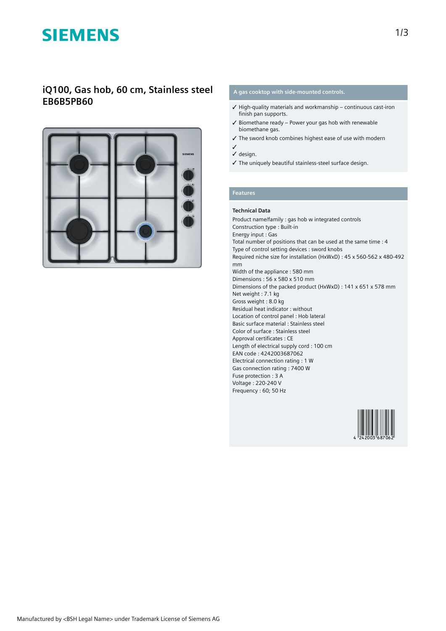# **SIEMENS**

## **iQ100, Gas hob, 60 cm, Stainless steel EB6B5PB60**



### **A gas cooktop with side-mounted controls.**

- $\checkmark$  High-quality materials and workmanship continuous cast-iron finish pan supports.
- ✓ Biomethane ready Power your gas hob with renewable biomethane gas.
- ✓ The sword knob combines highest ease of use with modern
- ✓ ✓ design.
- ✓ The uniquely beautiful stainless-steel surface design.

## **Features**

### **Technical Data**

Product name/family : gas hob w integrated controls Construction type : Built-in Energy input : Gas Total number of positions that can be used at the same time : 4 Type of control setting devices : sword knobs Required niche size for installation (HxWxD) : 45 x 560-562 x 480-492 mm Width of the appliance : 580 mm Dimensions : 56 x 580 x 510 mm Dimensions of the packed product (HxWxD) : 141 x 651 x 578 mm Net weight : 7.1 kg Gross weight : 8.0 kg Residual heat indicator : without Location of control panel : Hob lateral Basic surface material : Stainless steel Color of surface : Stainless steel Approval certificates : CE Length of electrical supply cord : 100 cm EAN code : 4242003687062 Electrical connection rating : 1 W Gas connection rating : 7400 W Fuse protection : 3 A Voltage : 220-240 V Frequency : 60; 50 Hz

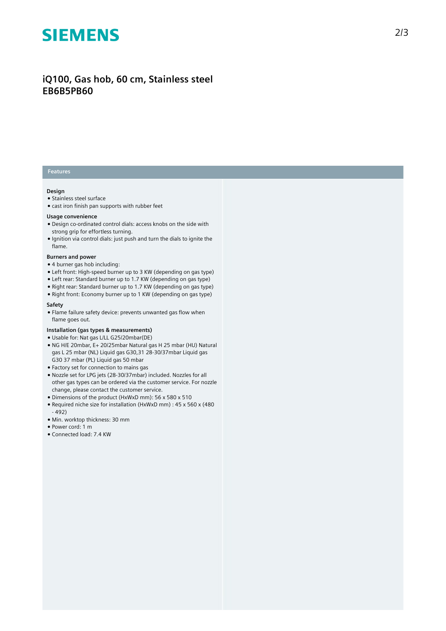# **SIEMENS**

## **iQ100, Gas hob, 60 cm, Stainless steel EB6B5PB60**

### **Features**

#### **Design**

- Stainless steel surface
- cast iron finish pan supports with rubber feet

#### **Usage convenience**

- Design co-ordinated control dials: access knobs on the side with strong grip for effortless turning.
- Ignition via control dials: just push and turn the dials to ignite the flame.

#### **Burners and power**

- 4 burner gas hob including:
- Left front: High-speed burner up to 3 KW (depending on gas type)
- Left rear: Standard burner up to 1.7 KW (depending on gas type)
- Right rear: Standard burner up to 1.7 KW (depending on gas type)
- Right front: Economy burner up to 1 KW (depending on gas type)

#### **Safety**

● Flame failure safety device: prevents unwanted gas flow when flame goes out.

#### **Installation (gas types & measurements)**

- Usable for: Nat gas L/LL G25/20mbar(DE)
- NG H/E 20mbar, E+ 20/25mbar Natural gas H 25 mbar (HU) Natural gas L 25 mbar (NL) Liquid gas G30,31 28-30/37mbar Liquid gas G30 37 mbar (PL) Liquid gas 50 mbar
- Factory set for connection to mains gas
- Nozzle set for LPG jets (28-30/37mbar) included. Nozzles for all other gas types can be ordered via the customer service. For nozzle change, please contact the customer service.
- Dimensions of the product (HxWxD mm): 56 x 580 x 510
- Required niche size for installation (HxWxD mm) : 45 x 560 x (480 - 492)
- Min. worktop thickness: 30 mm
- Power cord: 1 m
- Connected load: 7.4 KW